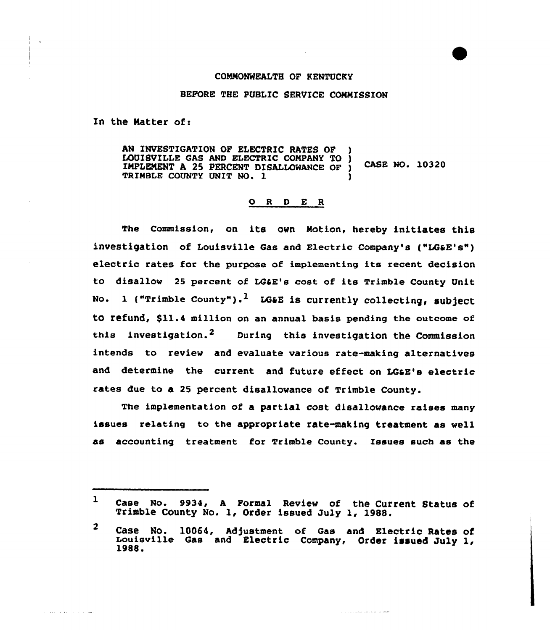## COMMONWEALTH OF KENTUCKY

## BEFORE THE PUBLIC SERVICE COMMISSION

Zn the Natter of:

بمداد بالتاريخ بكارين

AN INVESTIGATION OF ELECTRIC RATES OF LOUISVILLE GAS AND ELECTRIC COMPANY TO ) IMPLEMENT <sup>A</sup> 25 PERCENT DISALLOWANCE OF ) CASE NO. 10320 TRIMBLE COUNTY UNIT NO. 1

## 0 <sup>R</sup> <sup>D</sup> E <sup>R</sup>

The Commission, on its own Motion, hereby initiates this investigation of Louisville Gas and Electric company's {"LGaE's") electric rates for the purpose of implementing its recent decision to disallow <sup>25</sup> percent of LGaE's cost of its Trimble County Unit No. 1 ("Trimble County").<sup>1</sup> LG&E is currently collecting, subject tO refund, \$11.4 million on an annual basis pending the outcome of this investigation.<sup>2</sup> During this investigation the Commission intends to review and evaluate various rate-making alternatives and determine the current and future effect on LGaE's electric rates due to a 25 percent disallowance of Trimble County.

The implementation of a partial cost disallowance raises many issues relating to the appropriate rate-making treatment as well as accounting treatment for Trimble County. Issues such as the

المراسي المواصد والأوراني

 $\mathbf{r}$ Case No. 9934, <sup>A</sup> Formal Review of the Current Status of Trimble County No. 1, Order issued July 1, 1988.

<sup>&</sup>lt;sup>2</sup> Case No. 10064, Adjustment of Gas and Electric Rates of<br>Louisville Gas and Electric Company, Order issued July 1,<br>1988.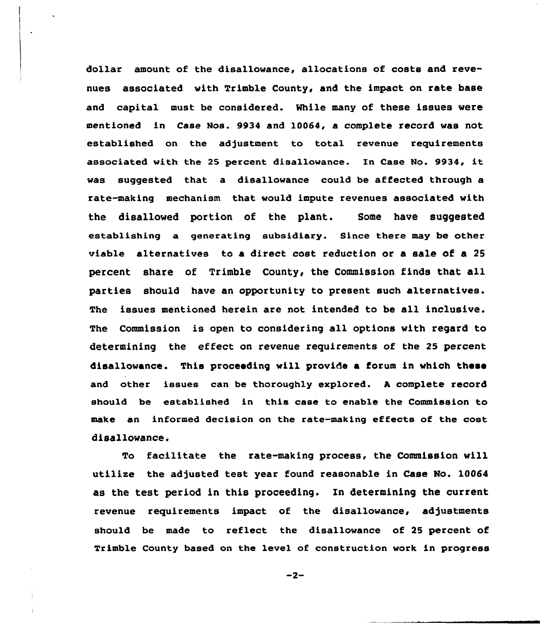dollar amount of the disallowance, allocations of costs and revenues associated with Trimble County, and the impact on rate base and capital must be considered. Mhile many of these issues were mentioned in Case Mos. 9934 and 10064, a complete record was not established on the adjustment to total revenue requirements associated with the <sup>25</sup> percent disallowance. In Case No. 9934, it was suggested that a disallowance could be affected through a rate-making mechanism that would impute revenues associated with the disallowed portion of the plant. Some have suggested establishing a generating subsidiary. Since there may be other viable alternatives to a direct cost reduction or a sale of a 25 percent share of Trimble County, the Commission finds that all parties should have an opportunity to present such alternatives. The issues mentioned herein are not intended to be all inclusive. The Commission is open to considering all options with regard to determining the effect on revenue requirements of the 25 percent disallowance. This proceeding will provide a forum in which these and other issues can be thoroughly explored. <sup>A</sup> complete record should be established in this case to enable the Commission to make an informed decision on the rate-making effects of the cost disallowance.

To facilitate the rate-making process, the Commission will utilize the adjusted test year found reasonable in Case No. 10064 as the test period in this proceeding. In determining the current revenue requirements impact of the disallowance, adjustments should be made to reflect the disallowance of 25 percent of Trimble County based on the level of construction work in progress

 $-2-$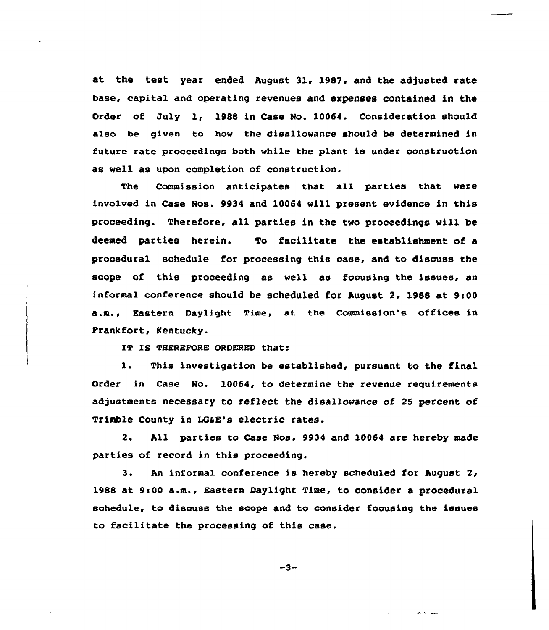at the test year ended August 31, 1987, and the adjusted rate base, capital and operating revenues and expenses contained in the Order of July 1, 1988 in Case No. 10064. Consideration should also be given to how the disallowance should be determined in future rate proceedings both while the plant is under construction as well as upon completion of construction,

The Commission anticipates that all parties that were involved in Case Nos. 9934 and 10064 will present evidence in this proceeding. Therefore, all parties in the two proceedings will be deemed parties herein. To facilitate the establishment of a procedural schedule for processing this case, and to discuss the scope of this proceeding as well as focusing the issues, an informal conference should be scheduled for August  $2$ , 1988 at 9:00 a.a., Eastern Daylight Time, at the Commission's offices in Frankfort, Kentucky.

IT IS THEREFORE ORDERED that:

1. This investigation be established, pursuant to the final Order in Case No. 10064, to determine the revenue requirements adjustments necessary to reflect the disallowance of 25 percent of Trimble County in LGaE's electric rates.

2. All parties to Case Nos. 9934 and 10064 are hereby made parties of record in this proceeding.

3. An informal conference is hereby scheduled for August 2< 1988 at 9:00 a.m., Eastern Daylight Time, to consider a procedural schedule, to discuss the scope and to consider focusing the issues to faci1itate the processing of this case.

 $-3-$